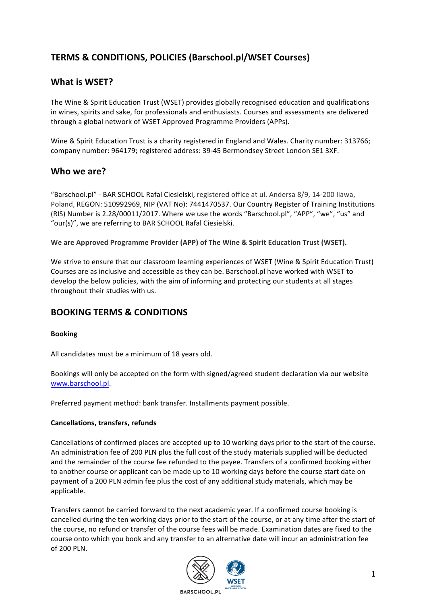# **TERMS & CONDITIONS, POLICIES (Barschool.pl/WSET Courses)**

## **What is WSET?**

The Wine & Spirit Education Trust (WSET) provides globally recognised education and qualifications in wines, spirits and sake, for professionals and enthusiasts. Courses and assessments are delivered through a global network of WSET Approved Programme Providers (APPs).

Wine & Spirit Education Trust is a charity registered in England and Wales. Charity number: 313766; company number: 964179; registered address: 39-45 Bermondsey Street London SE1 3XF.

## Who we are?

"Barschool.pl" - BAR SCHOOL Rafal Ciesielski, registered office at ul. Andersa 8/9, 14-200 Ilawa, Poland, REGON: 510992969, NIP (VAT No): 7441470537. Our Country Register of Training Institutions (RIS) Number is 2.28/00011/2017. Where we use the words "Barschool.pl", "APP", "we", "us" and "our(s)", we are referring to BAR SCHOOL Rafal Ciesielski.

We are Approved Programme Provider (APP) of The Wine & Spirit Education Trust (WSET).

We strive to ensure that our classroom learning experiences of WSET (Wine & Spirit Education Trust) Courses are as inclusive and accessible as they can be. Barschool.pl have worked with WSET to develop the below policies, with the aim of informing and protecting our students at all stages throughout their studies with us.

# **BOOKING TERMS & CONDITIONS**

### **Booking**

All candidates must be a minimum of 18 years old.

Bookings will only be accepted on the form with signed/agreed student declaration via our website www.barschool.pl.

Preferred payment method: bank transfer. Installments payment possible.

### **Cancellations, transfers, refunds**

Cancellations of confirmed places are accepted up to 10 working days prior to the start of the course. An administration fee of 200 PLN plus the full cost of the study materials supplied will be deducted and the remainder of the course fee refunded to the payee. Transfers of a confirmed booking either to another course or applicant can be made up to 10 working days before the course start date on payment of a 200 PLN admin fee plus the cost of any additional study materials, which may be applicable.

Transfers cannot be carried forward to the next academic year. If a confirmed course booking is cancelled during the ten working days prior to the start of the course, or at any time after the start of the course, no refund or transfer of the course fees will be made. Examination dates are fixed to the course onto which you book and any transfer to an alternative date will incur an administration fee of 200 PLN.

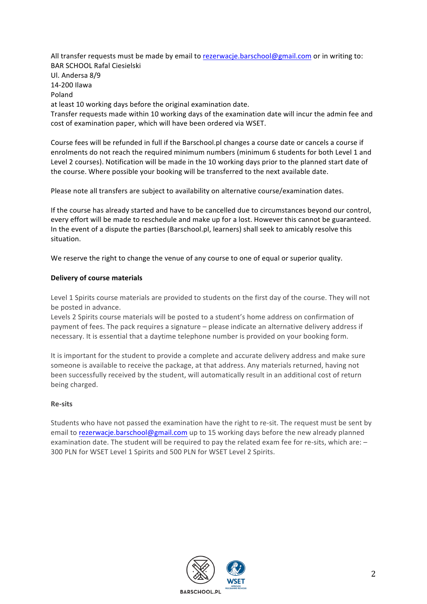All transfer requests must be made by email to rezerwacje.barschool@gmail.com or in writing to: BAR SCHOOL Rafal Ciesielski Ul. Andersa 8/9 14-200 Ilawa Poland at least 10 working days before the original examination date. Transfer requests made within 10 working days of the examination date will incur the admin fee and cost of examination paper, which will have been ordered via WSET.

Course fees will be refunded in full if the Barschool.pl changes a course date or cancels a course if enrolments do not reach the required minimum numbers (minimum 6 students for both Level 1 and Level 2 courses). Notification will be made in the 10 working days prior to the planned start date of the course. Where possible your booking will be transferred to the next available date.

Please note all transfers are subject to availability on alternative course/examination dates.

If the course has already started and have to be cancelled due to circumstances beyond our control, every effort will be made to reschedule and make up for a lost. However this cannot be guaranteed. In the event of a dispute the parties (Barschool.pl, learners) shall seek to amicably resolve this situation.

We reserve the right to change the venue of any course to one of equal or superior quality.

#### **Delivery of course materials**

Level 1 Spirits course materials are provided to students on the first day of the course. They will not be posted in advance.

Levels 2 Spirits course materials will be posted to a student's home address on confirmation of payment of fees. The pack requires a signature – please indicate an alternative delivery address if necessary. It is essential that a daytime telephone number is provided on your booking form.

It is important for the student to provide a complete and accurate delivery address and make sure someone is available to receive the package, at that address. Any materials returned, having not been successfully received by the student, will automatically result in an additional cost of return being charged.

#### **Re-sits**

Students who have not passed the examination have the right to re-sit. The request must be sent by email to rezerwacje.barschool@gmail.com up to 15 working days before the new already planned examination date. The student will be required to pay the related exam fee for re-sits, which are: -300 PLN for WSET Level 1 Spirits and 500 PLN for WSET Level 2 Spirits.

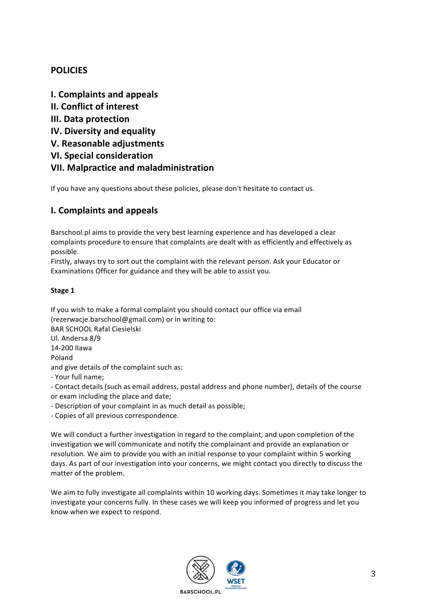# **POLICIES**

**I. Complaints and appeals II. Conflict of interest III.** Data protection **IV. Diversity and equality V. Reasonable adjustments VI. Special consideration VII. Malpractice and maladministration**

If you have any questions about these policies, please don't hesitate to contact us.

# **I. Complaints and appeals**

Barschool.pl aims to provide the very best learning experience and has developed a clear complaints procedure to ensure that complaints are dealt with as efficiently and effectively as possible.

Firstly, always try to sort out the complaint with the relevant person. Ask your Educator or Examinations Officer for guidance and they will be able to assist you.

## Stage 1

If you wish to make a formal complaint you should contact our office via email (rezerwacje.barschool@gmail.com) or in writing to:

BAR SCHOOL Rafal Ciesielski

Ul. Andersa 8/9

14-200 Ilawa

Poland

and give details of the complaint such as:

- Your full name;

- Contact details (such as email address, postal address and phone number), details of the course or exam including the place and date;

- Description of your complaint in as much detail as possible;

- Copies of all previous correspondence.

We will conduct a further investigation in regard to the complaint, and upon completion of the investigation we will communicate and notify the complainant and provide an explanation or resolution. We aim to provide you with an initial response to your complaint within 5 working days. As part of our investigation into your concerns, we might contact you directly to discuss the matter of the problem.

We aim to fully investigate all complaints within 10 working days. Sometimes it may take longer to investigate your concerns fully. In these cases we will keep you informed of progress and let you know when we expect to respond.

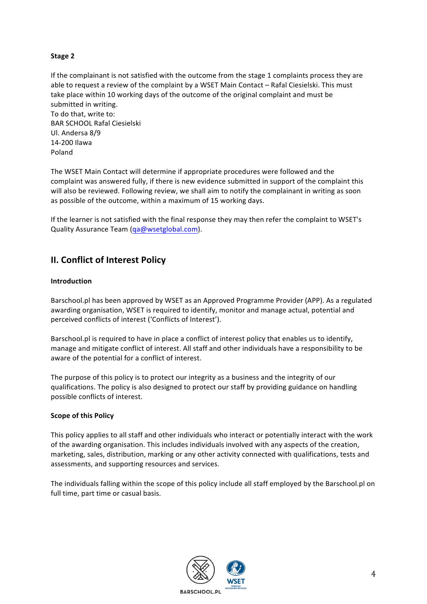### **Stage 2**

If the complainant is not satisfied with the outcome from the stage 1 complaints process they are able to request a review of the complaint by a WSET Main Contact - Rafal Ciesielski. This must take place within 10 working days of the outcome of the original complaint and must be submitted in writing.

To do that, write to: BAR SCHOOL Rafal Ciesielski Ul. Andersa 8/9 14-200 Ilawa Poland

The WSET Main Contact will determine if appropriate procedures were followed and the complaint was answered fully, if there is new evidence submitted in support of the complaint this will also be reviewed. Following review, we shall aim to notify the complainant in writing as soon as possible of the outcome, within a maximum of 15 working days.

If the learner is not satisfied with the final response they may then refer the complaint to WSET's Quality Assurance Team (qa@wsetglobal.com).

## **II. Conflict of Interest Policy**

#### **Introduction**

Barschool.pl has been approved by WSET as an Approved Programme Provider (APP). As a regulated awarding organisation, WSET is required to identify, monitor and manage actual, potential and perceived conflicts of interest ('Conflicts of Interest').

Barschool.pl is required to have in place a conflict of interest policy that enables us to identify, manage and mitigate conflict of interest. All staff and other individuals have a responsibility to be aware of the potential for a conflict of interest.

The purpose of this policy is to protect our integrity as a business and the integrity of our qualifications. The policy is also designed to protect our staff by providing guidance on handling possible conflicts of interest.

#### **Scope of this Policy**

This policy applies to all staff and other individuals who interact or potentially interact with the work of the awarding organisation. This includes individuals involved with any aspects of the creation, marketing, sales, distribution, marking or any other activity connected with qualifications, tests and assessments, and supporting resources and services.

The individuals falling within the scope of this policy include all staff employed by the Barschool.pl on full time, part time or casual basis.

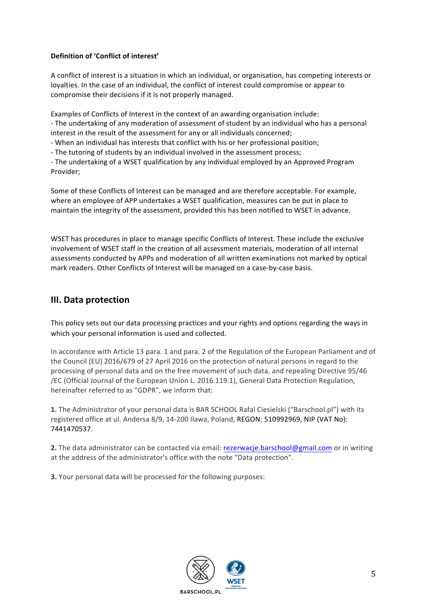### **Definition of 'Conflict of interest'**

A conflict of interest is a situation in which an individual, or organisation, has competing interests or loyalties. In the case of an individual, the conflict of interest could compromise or appear to compromise their decisions if it is not properly managed.

Examples of Conflicts of Interest in the context of an awarding organisation include: - The undertaking of any moderation of assessment of student by an individual who has a personal interest in the result of the assessment for any or all individuals concerned;

- When an individual has interests that conflict with his or her professional position;

- The tutoring of students by an individual involved in the assessment process;

- The undertaking of a WSET qualification by any individual employed by an Approved Program Provider; 

Some of these Conflicts of Interest can be managed and are therefore acceptable. For example, where an employee of APP undertakes a WSET qualification, measures can be put in place to maintain the integrity of the assessment, provided this has been notified to WSET in advance.

WSET has procedures in place to manage specific Conflicts of Interest. These include the exclusive involvement of WSET staff in the creation of all assessment materials, moderation of all internal assessments conducted by APPs and moderation of all written examinations not marked by optical mark readers. Other Conflicts of Interest will be managed on a case-by-case basis.

## **III.** Data protection

This policy sets out our data processing practices and your rights and options regarding the ways in which your personal information is used and collected.

In accordance with Article 13 para. 1 and para. 2 of the Regulation of the European Parliament and of the Council (EU) 2016/679 of 27 April 2016 on the protection of natural persons in regard to the processing of personal data and on the free movement of such data, and repealing Directive 95/46 /EC (Official Journal of the European Union L. 2016.119.1), General Data Protection Regulation, hereinafter referred to as "GDPR", we inform that:

1. The Administrator of your personal data is BAR SCHOOL Rafal Ciesielski ("Barschool.pl") with its registered office at ul. Andersa 8/9, 14-200 Ilawa, Poland, REGON: 510992969, NIP (VAT No): 7441470537.

**2.** The data administrator can be contacted via email: rezerwacje.barschool@gmail.com or in writing at the address of the administrator's office with the note "Data protection".

**3.** Your personal data will be processed for the following purposes:

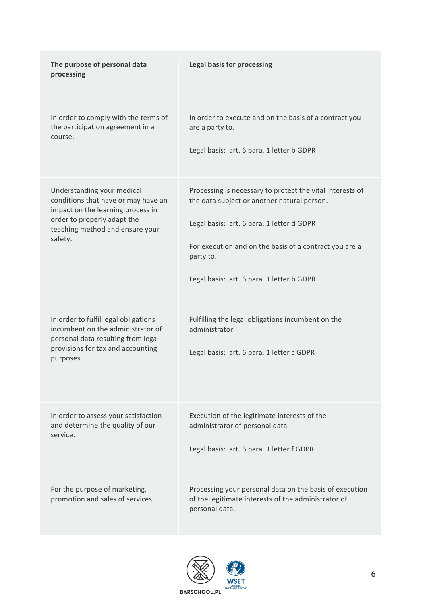| The purpose of personal data<br>processing                                                                                                                        | <b>Legal basis for processing</b>                                                                                                |
|-------------------------------------------------------------------------------------------------------------------------------------------------------------------|----------------------------------------------------------------------------------------------------------------------------------|
| In order to comply with the terms of                                                                                                                              | In order to execute and on the basis of a contract you                                                                           |
| the participation agreement in a                                                                                                                                  | are a party to.                                                                                                                  |
| course.                                                                                                                                                           | Legal basis: art. 6 para. 1 letter b GDPR                                                                                        |
| Understanding your medical                                                                                                                                        | Processing is necessary to protect the vital interests of                                                                        |
| conditions that have or may have an                                                                                                                               | the data subject or another natural person.                                                                                      |
| impact on the learning process in                                                                                                                                 | Legal basis: art. 6 para. 1 letter d GDPR                                                                                        |
| order to properly adapt the                                                                                                                                       | For execution and on the basis of a contract you are a                                                                           |
| teaching method and ensure your                                                                                                                                   | party to.                                                                                                                        |
| safety.                                                                                                                                                           | Legal basis: art. 6 para. 1 letter b GDPR                                                                                        |
| In order to fulfil legal obligations<br>incumbent on the administrator of<br>personal data resulting from legal<br>provisions for tax and accounting<br>purposes. | Fulfilling the legal obligations incumbent on the<br>administrator.<br>Legal basis: art. 6 para. 1 letter c GDPR                 |
| In order to assess your satisfaction                                                                                                                              | Execution of the legitimate interests of the                                                                                     |
| and determine the quality of our                                                                                                                                  | administrator of personal data                                                                                                   |
| service.                                                                                                                                                          | Legal basis: art. 6 para. 1 letter f GDPR                                                                                        |
| For the purpose of marketing,<br>promotion and sales of services.                                                                                                 | Processing your personal data on the basis of execution<br>of the legitimate interests of the administrator of<br>personal data. |

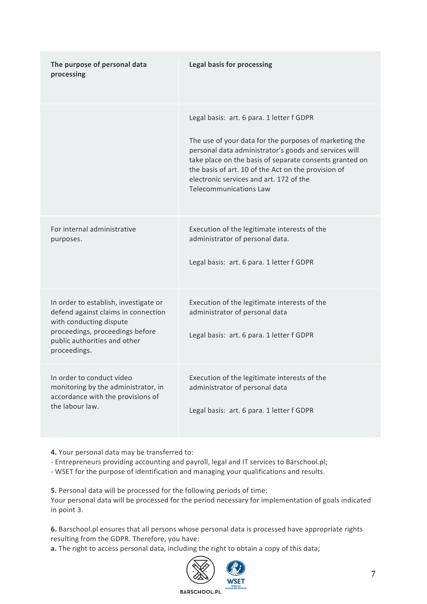| The purpose of personal data<br>processing                                                                                                                                                 | <b>Legal basis for processing</b>                                                                                                                                                                                                                                                                                                                          |
|--------------------------------------------------------------------------------------------------------------------------------------------------------------------------------------------|------------------------------------------------------------------------------------------------------------------------------------------------------------------------------------------------------------------------------------------------------------------------------------------------------------------------------------------------------------|
|                                                                                                                                                                                            | Legal basis: art. 6 para. 1 letter f GDPR<br>The use of your data for the purposes of marketing the<br>personal data administrator's goods and services will<br>take place on the basis of separate consents granted on<br>the basis of art. 10 of the Act on the provision of<br>electronic services and art. 172 of the<br><b>Telecommunications Law</b> |
| For internal administrative<br>purposes.                                                                                                                                                   | Execution of the legitimate interests of the<br>administrator of personal data.<br>Legal basis: art. 6 para. 1 letter f GDPR                                                                                                                                                                                                                               |
| In order to establish, investigate or<br>defend against claims in connection<br>with conducting dispute<br>proceedings, proceedings before<br>public authorities and other<br>proceedings. | Execution of the legitimate interests of the<br>administrator of personal data<br>Legal basis: art. 6 para. 1 letter f GDPR                                                                                                                                                                                                                                |
| In order to conduct video<br>monitoring by the administrator, in<br>accordance with the provisions of<br>the labour law.                                                                   | Execution of the legitimate interests of the<br>administrator of personal data<br>Legal basis: art. 6 para. 1 letter f GDPR                                                                                                                                                                                                                                |

**4.** Your personal data may be transferred to:

- Entrepreneurs providing accounting and payroll, legal and IT services to Barschool.pl;

- WSET for the purpose of identification and managing your qualifications and results.

**5.** Personal data will be processed for the following periods of time: Your personal data will be processed for the period necessary for implementation of goals indicated in point 3.

6. Barschool.pl ensures that all persons whose personal data is processed have appropriate rights resulting from the GDPR. Therefore, you have:

**a.** The right to access personal data, including the right to obtain a copy of this data;

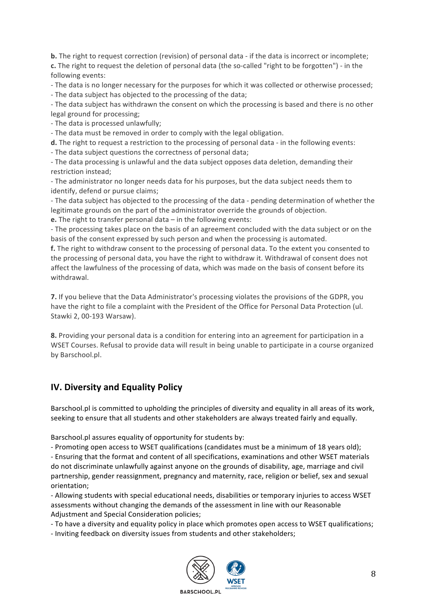**b.** The right to request correction (revision) of personal data - if the data is incorrect or incomplete; **c.** The right to request the deletion of personal data (the so-called "right to be forgotten") - in the following events:

- The data is no longer necessary for the purposes for which it was collected or otherwise processed;

- The data subject has objected to the processing of the data;

- The data subject has withdrawn the consent on which the processing is based and there is no other legal ground for processing;

- The data is processed unlawfully;

- The data must be removed in order to comply with the legal obligation.

**d.** The right to request a restriction to the processing of personal data - in the following events:

- The data subject questions the correctness of personal data;

- The data processing is unlawful and the data subject opposes data deletion, demanding their restriction instead;

- The administrator no longer needs data for his purposes, but the data subject needs them to identify, defend or pursue claims;

- The data subject has objected to the processing of the data - pending determination of whether the legitimate grounds on the part of the administrator override the grounds of objection.

**e.** The right to transfer personal data  $-$  in the following events:

- The processing takes place on the basis of an agreement concluded with the data subject or on the basis of the consent expressed by such person and when the processing is automated.

**f.** The right to withdraw consent to the processing of personal data. To the extent you consented to the processing of personal data, you have the right to withdraw it. Withdrawal of consent does not affect the lawfulness of the processing of data, which was made on the basis of consent before its withdrawal.

**7.** If you believe that the Data Administrator's processing violates the provisions of the GDPR, you have the right to file a complaint with the President of the Office for Personal Data Protection (ul. Stawki 2, 00-193 Warsaw).

**8.** Providing your personal data is a condition for entering into an agreement for participation in a WSET Courses. Refusal to provide data will result in being unable to participate in a course organized by Barschool.pl.

# **IV. Diversity and Equality Policy**

Barschool.pl is committed to upholding the principles of diversity and equality in all areas of its work, seeking to ensure that all students and other stakeholders are always treated fairly and equally.

Barschool.pl assures equality of opportunity for students by:

- Promoting open access to WSET qualifications (candidates must be a minimum of 18 years old);

- Ensuring that the format and content of all specifications, examinations and other WSET materials do not discriminate unlawfully against anyone on the grounds of disability, age, marriage and civil partnership, gender reassignment, pregnancy and maternity, race, religion or belief, sex and sexual orientation;

- Allowing students with special educational needs, disabilities or temporary injuries to access WSET assessments without changing the demands of the assessment in line with our Reasonable Adjustment and Special Consideration policies;

- To have a diversity and equality policy in place which promotes open access to WSET qualifications;

- Inviting feedback on diversity issues from students and other stakeholders;

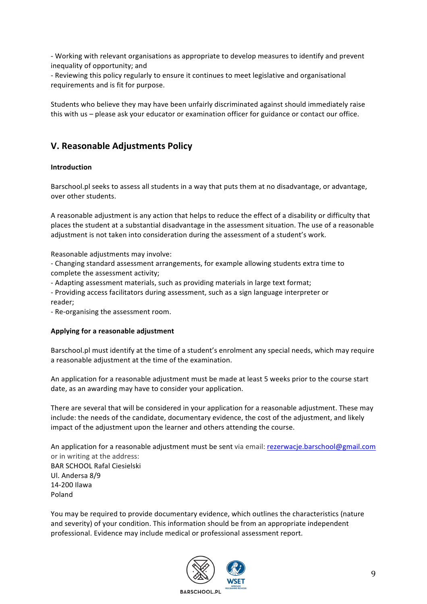- Working with relevant organisations as appropriate to develop measures to identify and prevent inequality of opportunity; and

- Reviewing this policy regularly to ensure it continues to meet legislative and organisational requirements and is fit for purpose.

Students who believe they may have been unfairly discriminated against should immediately raise this with us - please ask your educator or examination officer for guidance or contact our office.

## **V. Reasonable Adjustments Policy**

#### **Introduction**

Barschool.pl seeks to assess all students in a way that puts them at no disadvantage, or advantage, over other students.

A reasonable adjustment is any action that helps to reduce the effect of a disability or difficulty that places the student at a substantial disadvantage in the assessment situation. The use of a reasonable adjustment is not taken into consideration during the assessment of a student's work.

Reasonable adjustments may involve:

- Changing standard assessment arrangements, for example allowing students extra time to complete the assessment activity;

- Adapting assessment materials, such as providing materials in large text format;
- Providing access facilitators during assessment, such as a sign language interpreter or reader;
- Re-organising the assessment room.

#### Applying for a reasonable adjustment

Barschool.pl must identify at the time of a student's enrolment any special needs, which may require a reasonable adjustment at the time of the examination.

An application for a reasonable adjustment must be made at least 5 weeks prior to the course start date, as an awarding may have to consider your application.

There are several that will be considered in your application for a reasonable adjustment. These may include: the needs of the candidate, documentary evidence, the cost of the adjustment, and likely impact of the adjustment upon the learner and others attending the course.

An application for a reasonable adjustment must be sent via email: rezerwacje.barschool@gmail.com or in writing at the address: **BAR SCHOOL Rafal Ciesielski** Ul. Andersa 8/9

14-200 Ilawa Poland

You may be required to provide documentary evidence, which outlines the characteristics (nature and severity) of your condition. This information should be from an appropriate independent professional. Evidence may include medical or professional assessment report.

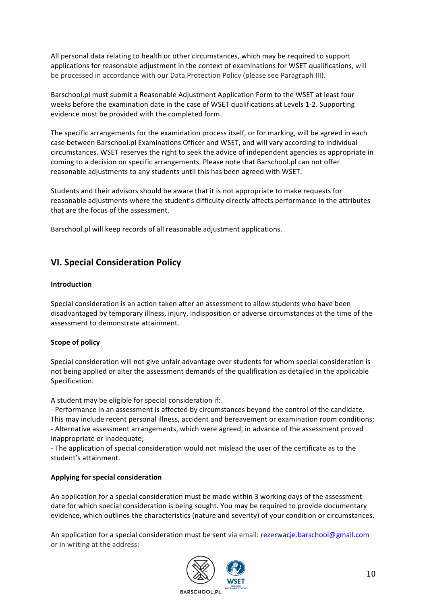All personal data relating to health or other circumstances, which may be required to support applications for reasonable adjustment in the context of examinations for WSET qualifications, will be processed in accordance with our Data Protection Policy (please see Paragraph III).

Barschool.pl must submit a Reasonable Adjustment Application Form to the WSET at least four weeks before the examination date in the case of WSET qualifications at Levels 1-2. Supporting evidence must be provided with the completed form.

The specific arrangements for the examination process itself, or for marking, will be agreed in each case between Barschool.pl Examinations Officer and WSET, and will vary according to individual circumstances. WSET reserves the right to seek the advice of independent agencies as appropriate in coming to a decision on specific arrangements. Please note that Barschool.pl can not offer reasonable adjustments to any students until this has been agreed with WSET.

Students and their advisors should be aware that it is not appropriate to make requests for reasonable adjustments where the student's difficulty directly affects performance in the attributes that are the focus of the assessment.

Barschool.pl will keep records of all reasonable adjustment applications.

# **VI. Special Consideration Policy**

#### **Introduction**

Special consideration is an action taken after an assessment to allow students who have been disadvantaged by temporary illness, injury, indisposition or adverse circumstances at the time of the assessment to demonstrate attainment.

### **Scope of policy**

Special consideration will not give unfair advantage over students for whom special consideration is not being applied or alter the assessment demands of the qualification as detailed in the applicable Specification. 

A student may be eligible for special consideration if:

- Performance in an assessment is affected by circumstances beyond the control of the candidate. This may include recent personal illness, accident and bereavement or examination room conditions; - Alternative assessment arrangements, which were agreed, in advance of the assessment proved inappropriate or inadequate:

- The application of special consideration would not mislead the user of the certificate as to the student's attainment.

#### **Applying for special consideration**

An application for a special consideration must be made within 3 working days of the assessment date for which special consideration is being sought. You may be required to provide documentary evidence, which outlines the characteristics (nature and severity) of your condition or circumstances.

An application for a special consideration must be sent via email: rezerwacje.barschool@gmail.com or in writing at the address:

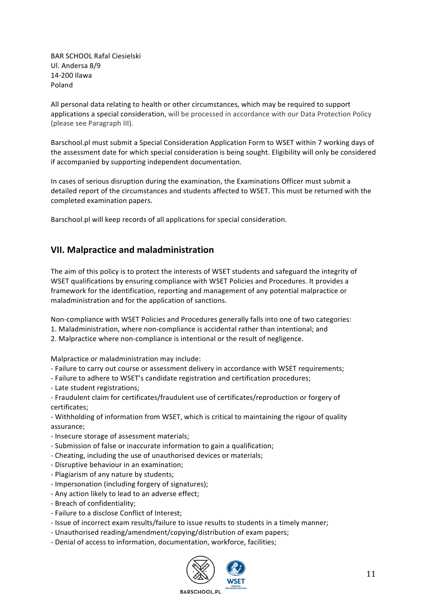BAR SCHOOL Rafal Ciesielski Ul. Andersa 8/9 14-200 Ilawa Poland

All personal data relating to health or other circumstances, which may be required to support applications a special consideration, will be processed in accordance with our Data Protection Policy (please see Paragraph III).

Barschool.pl must submit a Special Consideration Application Form to WSET within 7 working days of the assessment date for which special consideration is being sought. Eligibility will only be considered if accompanied by supporting independent documentation.

In cases of serious disruption during the examination, the Examinations Officer must submit a detailed report of the circumstances and students affected to WSET. This must be returned with the completed examination papers.

Barschool.pl will keep records of all applications for special consideration.

## **VII. Malpractice and maladministration**

The aim of this policy is to protect the interests of WSET students and safeguard the integrity of WSET qualifications by ensuring compliance with WSET Policies and Procedures. It provides a framework for the identification, reporting and management of any potential malpractice or maladministration and for the application of sanctions.

Non-compliance with WSET Policies and Procedures generally falls into one of two categories:

- 1. Maladministration, where non-compliance is accidental rather than intentional; and
- 2. Malpractice where non-compliance is intentional or the result of negligence.

Malpractice or maladministration may include:

- Failure to carry out course or assessment delivery in accordance with WSET requirements;
- Failure to adhere to WSET's candidate registration and certification procedures;
- Late student registrations;
- Fraudulent claim for certificates/fraudulent use of certificates/reproduction or forgery of certificates;

- Withholding of information from WSET, which is critical to maintaining the rigour of quality assurance;

- Insecure storage of assessment materials;
- Submission of false or inaccurate information to gain a qualification;
- Cheating, including the use of unauthorised devices or materials;
- Disruptive behaviour in an examination;
- Plagiarism of any nature by students;
- Impersonation (including forgery of signatures);
- Any action likely to lead to an adverse effect;
- Breach of confidentiality;
- Failure to a disclose Conflict of Interest;
- Issue of incorrect exam results/failure to issue results to students in a timely manner;
- Unauthorised reading/amendment/copying/distribution of exam papers;
- Denial of access to information, documentation, workforce, facilities;